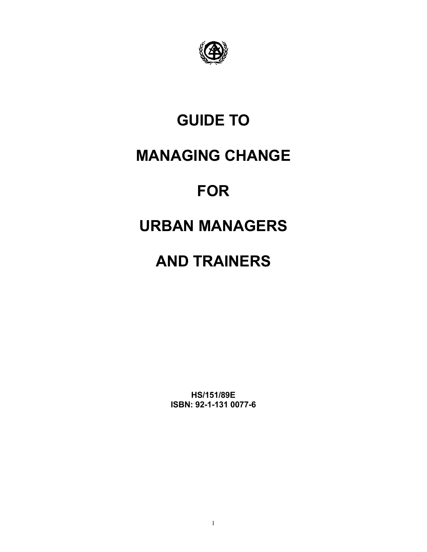

# **GUIDE TO**

# **MANAGING CHANGE**

# **FOR**

# **URBAN MANAGERS**

# **AND TRAINERS**

**HS/151/89E ISBN: 92-1-131 0077-6**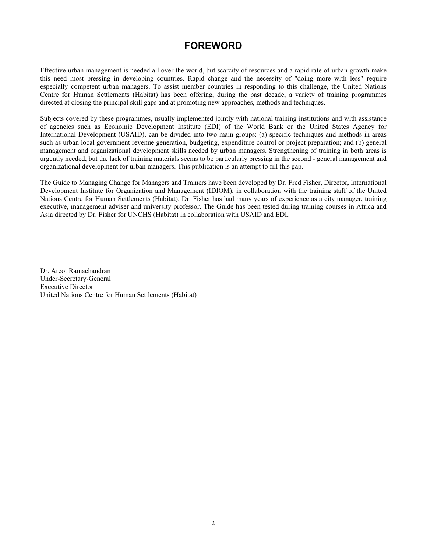# **FOREWORD**

Effective urban management is needed all over the world, but scarcity of resources and a rapid rate of urban growth make this need most pressing in developing countries. Rapid change and the necessity of "doing more with less" require especially competent urban managers. To assist member countries in responding to this challenge, the United Nations Centre for Human Settlements (Habitat) has been offering, during the past decade, a variety of training programmes directed at closing the principal skill gaps and at promoting new approaches, methods and techniques.

Subjects covered by these programmes, usually implemented jointly with national training institutions and with assistance of agencies such as Economic Development Institute (EDI) of the World Bank or the United States Agency for International Development (USAID), can be divided into two main groups: (a) specific techniques and methods in areas such as urban local government revenue generation, budgeting, expenditure control or project preparation; and (b) general management and organizational development skills needed by urban managers. Strengthening of training in both areas is urgently needed, but the lack of training materials seems to be particularly pressing in the second - general management and organizational development for urban managers. This publication is an attempt to fill this gap.

The Guide to Managing Change for Managers and Trainers have been developed by Dr. Fred Fisher, Director, International Development Institute for Organization and Management (IDIOM), in collaboration with the training staff of the United Nations Centre for Human Settlements (Habitat). Dr. Fisher has had many years of experience as a city manager, training executive, management adviser and university professor. The Guide has been tested during training courses in Africa and Asia directed by Dr. Fisher for UNCHS (Habitat) in collaboration with USAID and EDI.

Dr. Arcot Ramachandran Under-Secretary-General Executive Director United Nations Centre for Human Settlements (Habitat)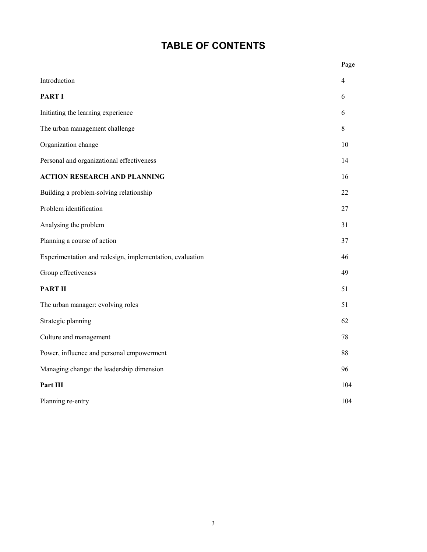# **TABLE OF CONTENTS**

|                                                          | Page           |
|----------------------------------------------------------|----------------|
| Introduction                                             | $\overline{4}$ |
| <b>PART I</b>                                            | 6              |
| Initiating the learning experience                       | 6              |
| The urban management challenge                           | $8\,$          |
| Organization change                                      | 10             |
| Personal and organizational effectiveness                | 14             |
| <b>ACTION RESEARCH AND PLANNING</b>                      | 16             |
| Building a problem-solving relationship                  | 22             |
| Problem identification                                   | 27             |
| Analysing the problem                                    | 31             |
| Planning a course of action                              | 37             |
| Experimentation and redesign, implementation, evaluation | 46             |
| Group effectiveness                                      | 49             |
| <b>PART II</b>                                           | 51             |
| The urban manager: evolving roles                        | 51             |
| Strategic planning                                       | 62             |
| Culture and management                                   | 78             |
| Power, influence and personal empowerment                | 88             |
| Managing change: the leadership dimension                | 96             |
| Part III                                                 | 104            |
| Planning re-entry                                        | 104            |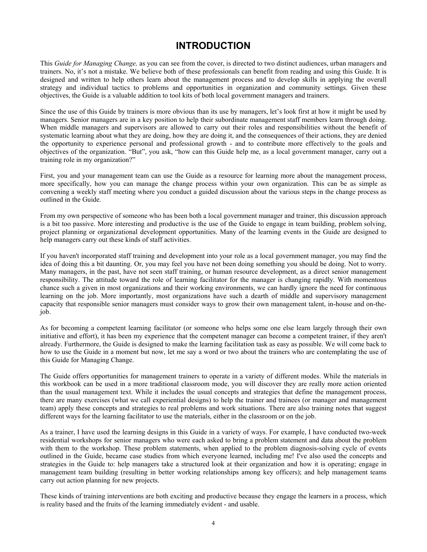# **INTRODUCTION**

This *Guide for Managing Change,* as you can see from the cover, is directed to two distinct audiences, urban managers and trainers. No, it's not a mistake. We believe both of these professionals can benefit from reading and using this Guide. It is designed and written to help others learn about the management process and to develop skills in applying the overall strategy and individual tactics to problems and opportunities in organization and community settings. Given these objectives, the Guide is a valuable addition to tool kits of both local government managers and trainers.

Since the use of this Guide by trainers is more obvious than its use by managers, let's look first at how it might be used by managers. Senior managers are in a key position to help their subordinate management staff members learn through doing. When middle managers and supervisors are allowed to carry out their roles and responsibilities without the benefit of systematic learning about what they are doing, how they are doing it, and the consequences of their actions, they are denied the opportunity to experience personal and professional growth - and to contribute more effectively to the goals and objectives of the organization. "But", you ask, "how can this Guide help me, as a local government manager, carry out a training role in my organization?"

First, you and your management team can use the Guide as a resource for learning more about the management process, more specifically, how you can manage the change process within your own organization. This can be as simple as convening a weekly staff meeting where you conduct a guided discussion about the various steps in the change process as outlined in the Guide.

From my own perspective of someone who has been both a local government manager and trainer, this discussion approach is a bit too passive. More interesting and productive is the use of the Guide to engage in team building, problem solving, project planning or organizational development opportunities. Many of the learning events in the Guide are designed to help managers carry out these kinds of staff activities.

If you haven't incorporated staff training and development into your role as a local government manager, you may find the idea of doing this a bit daunting. Or, you may feel you have not been doing something you should be doing. Not to worry. Many managers, in the past, have not seen staff training, or human resource development, as a direct senior management responsibility. The attitude toward the role of learning facilitator for the manager is changing rapidly. With momentous chance such a given in most organizations and their working environments, we can hardly ignore the need for continuous learning on the job. More importantly, most organizations have such a dearth of middle and supervisory management capacity that responsible senior managers must consider ways to grow their own management talent, in-house and on-thejob.

As for becoming a competent learning facilitator (or someone who helps some one else learn largely through their own initiative and effort), it has been my experience that the competent manager can become a competent trainer, if they aren't already. Furthermore, the Guide is designed to make the learning facilitation task as easy as possible. We will come back to how to use the Guide in a moment but now, let me say a word or two about the trainers who are contemplating the use of this Guide for Managing Change.

The Guide offers opportunities for management trainers to operate in a variety of different modes. While the materials in this workbook can be used in a more traditional classroom mode, you will discover they are really more action oriented than the usual management text. While it includes the usual concepts and strategies that define the management process, there are many exercises (what we call experiential designs) to help the trainer and trainees (or manager and management team) apply these concepts and strategies to real problems and work situations. There are also training notes that suggest different ways for the learning facilitator to use the materials, either in the classroom or on the job.

As a trainer, I have used the learning designs in this Guide in a variety of ways. For example, I have conducted two-week residential workshops for senior managers who were each asked to bring a problem statement and data about the problem with them to the workshop. These problem statements, when applied to the problem diagnosis-solving cycle of events outlined in the Guide, became case studies from which everyone learned, including me! I've also used the concepts and strategies in the Guide to: help managers take a structured look at their organization and how it is operating; engage in management team building (resulting in better working relationships among key officers); and help management teams carry out action planning for new projects.

These kinds of training interventions are both exciting and productive because they engage the learners in a process, which is reality based and the fruits of the learning immediately evident - and usable.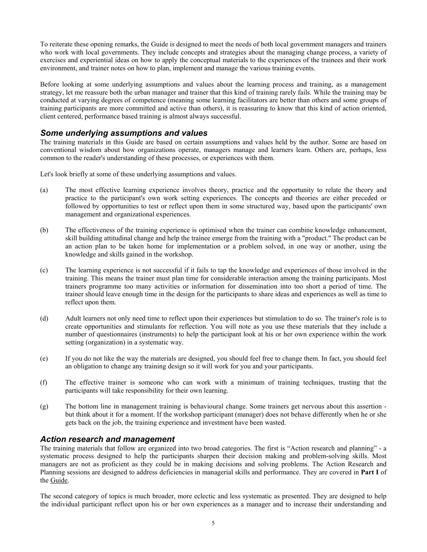To reiterate these opening remarks, the Guide is designed to meet the needs of both local government managers and trainers who work with local governments. They include concepts and strategies about the managing change process, a variety of exercises and experiential ideas on how to apply the conceptual materials to the experiences of the trainees and their work environment, and trainer notes on how to plan, implement and manage the various training events.

Before looking at some underlying assumptions and values about the learning process and training, as a management strategy, let me reassure both the urban manager and trainer that this kind of training rarely fails. While the training may be conducted at varying degrees of competence (meaning some learning facilitators are better than others and some groups of training participants are more committed and active than others), it is reassuring to know that this kind of action oriented, client centered, performance based training is almost always successful.

## *Some underlying assumptions and values*

The training materials in this Guide are based on certain assumptions and values held by the author. Some are based on conventional wisdom about how organizations operate, managers manage and learners learn. Others are, perhaps, less common to the reader's understanding of these processes, or experiences with them.

Let's look briefly at some of these underlying assumptions and values.

- (a) The most effective learning experience involves theory, practice and the opportunity to relate the theory and practice to the participant's own work setting experiences. The concepts and theories are either preceded or followed by opportunities to test or reflect upon them in some structured way, based upon the participants' own management and organizational experiences.
- (b) The effectiveness of the training experience is optimised when the trainer can combine knowledge enhancement, skill building attitudinal change and help the trainee emerge from the training with a "product." The product can be an action plan to be taken home for implementation or a problem solved, in one way or another, using the knowledge and skills gained in the workshop.
- (c) The learning experience is not successful if it fails to tap the knowledge and experiences of those involved in the training. This means the trainer must plan time for considerable interaction among the training participants. Most trainers programme too many activities or information for dissemination into too short a period of time. The trainer should leave enough time in the design for the participants to share ideas and experiences as well as time to reflect upon them.
- (d) Adult learners not only need time to reflect upon their experiences but stimulation to do so. The trainer's role is to create opportunities and stimulants for reflection. You will note as you use these materials that they include a number of questionnaires (instruments) to help the participant look at his or her own experience within the work setting (organization) in a systematic way.
- (e) If you do not like the way the materials are designed, you should feel free to change them. In fact, you should feel an obligation to change any training design so it will work for you and your participants.
- (f) The effective trainer is someone who can work with a minimum of training techniques, trusting that the participants will take responsibility for their own learning.
- (g) The bottom line in management training is behavioural change. Some trainers get nervous about this assertion but think about it for a moment. If the workshop participant (manager) does not behave differently when he or she gets back on the job, the training experience and investment have been wasted.

## *Action research and management*

The training materials that follow are organized into two broad categories. The first is "Action research and planning" - a systematic process designed to help the participants sharpen their decision making and problem-solving skills. Most managers are not as proficient as they could be in making decisions and solving problems. The Action Research and Planning sessions are designed to address deficiencies in managerial skills and performance. They are covered in **Part I** of the Guide.

The second category of topics is much broader, more eclectic and less systematic as presented. They are designed to help the individual participant reflect upon his or her own experiences as a manager and to increase their understanding and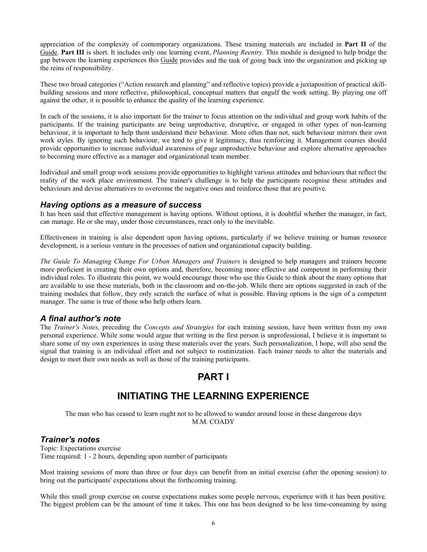appreciation of the complexity of contemporary organizations. These training materials are included in **Part II** of the Guide. **Part III** is short. It includes only one learning event, *Planning Reentry.* This module is designed to help bridge the gap between the learning experiences this Guide provides and the task of going back into the organization and picking up the reins of responsibility.

These two broad categories ("Action research and planning" and reflective topics) provide a juxtaposition of practical skillbuilding sessions and more reflective, philosophical, conceptual matters that engulf the work setting. By playing one off against the other, it is possible to enhance the quality of the learning experience.

In each of the sessions, it is also important for the trainer to focus attention on the individual and group work habits of the participants. If the training participants are being unproductive, disruptive, or engaged in other types of non-learning behaviour, it is important to help them understand their behaviour. More often than not, such behaviour mirrors their own work styles. By ignoring such behaviour, we tend to give it legitimacy, thus reinforcing it. Management courses should provide opportunities to increase individual awareness of page unproductive behaviour and explore alternative approaches to becoming more effective as a manager and organizational team member.

Individual and small group work sessions provide opportunities to highlight various attitudes and behaviours that reflect the reality of the work place environment. The trainer's challenge is to help the participants recognise these attitudes and behaviours and devise alternatives to overcome the negative ones and reinforce those that are positive.

#### *Having options as a measure of success*

It has been said that effective management is having options. Without options, it is doubtful whether the manager, in fact, can manage. He or she may, under those circumstances, react only to the inevitable.

Effectiveness in training is also dependent upon having options, particularly if we believe training or human resource development, is a serious venture in the processes of nation and organizational capacity building.

*The Guide To Managing Change For Urban Managers and Trainers* is designed to help managers and trainers become more proficient in creating their own options and, therefore, becoming more effective and competent in performing their individual roles. To illustrate this point, we would encourage those who use this Guide to think about the many options that are available to use these materials, both in the classroom and on-the-job. While there are options suggested in each of the training modules that follow, they only scratch the surface of what is possible. Having options is the sign of a competent manager. The same is true of those who help others learn.

## *A final author's note*

The *Trainer's Notes,* preceding the *Concepts and Strategies* for each training session, have been written from my own personal experience. While some would argue that writing in the first person is unprofessional, I believe it is important to share some of my own experiences in using these materials over the years. Such personalization, I hope, will also send the signal that training is an individual effort and not subject to routinization. Each trainer needs to alter the materials and design to meet their own needs as well as those of the training participants.

# **PART I**

# **INITIATING THE LEARNING EXPERIENCE**

The man who has ceased to learn ought not to be allowed to wander around loose in these dangerous days M.M. COADY

### *Trainer's notes*

Topic: Expectations exercise Time required: 1 - 2 hours, depending upon number of participants

Most training sessions of more than three or four days can benefit from an initial exercise (after the opening session) to bring out the participants' expectations about the forthcoming training.

While this small group exercise on course expectations makes some people nervous, experience with it has been positive. The biggest problem can be the amount of time it takes. This one has been designed to be less time-consuming by using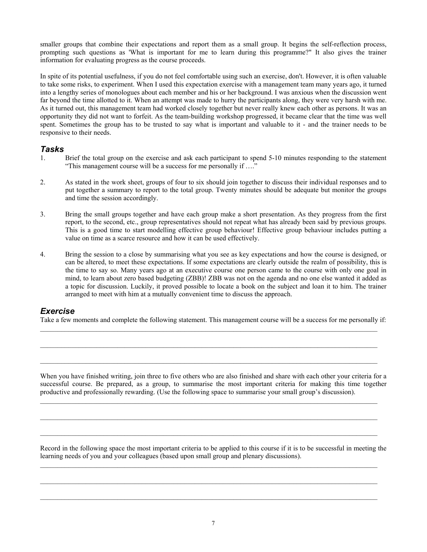smaller groups that combine their expectations and report them as a small group. It begins the self-reflection process, prompting such questions as 'What is important for me to learn during this programme?" It also gives the trainer information for evaluating progress as the course proceeds.

In spite of its potential usefulness, if you do not feel comfortable using such an exercise, don't. However, it is often valuable to take some risks, to experiment. When I used this expectation exercise with a management team many years ago, it turned into a lengthy series of monologues about each member and his or her background. I was anxious when the discussion went far beyond the time allotted to it. When an attempt was made to hurry the participants along, they were very harsh with me. As it turned out, this management team had worked closely together but never really knew each other as persons. It was an opportunity they did not want to forfeit. As the team-building workshop progressed, it became clear that the time was well spent. Sometimes the group has to be trusted to say what is important and valuable to it - and the trainer needs to be responsive to their needs.

#### *Tasks*

- 1. Brief the total group on the exercise and ask each participant to spend 5-10 minutes responding to the statement "This management course will be a success for me personally if …."
- 2. As stated in the work sheet, groups of four to six should join together to discuss their individual responses and to put together a summary to report to the total group. Twenty minutes should be adequate but monitor the groups and time the session accordingly.
- 3. Bring the small groups together and have each group make a short presentation. As they progress from the first report, to the second, etc., group representatives should not repeat what has already been said by previous groups. This is a good time to start modelling effective group behaviour! Effective group behaviour includes putting a value on time as a scarce resource and how it can be used effectively.
- 4. Bring the session to a close by summarising what you see as key expectations and how the course is designed, or can be altered, to meet these expectations. If some expectations are clearly outside the realm of possibility, this is the time to say so. Many years ago at an executive course one person came to the course with only one goal in mind, to learn about zero based budgeting (ZBB)! ZBB was not on the agenda and no one else wanted it added as a topic for discussion. Luckily, it proved possible to locate a book on the subject and loan it to him. The trainer arranged to meet with him at a mutually convenient time to discuss the approach.

## *Exercise*

Take a few moments and complete the following statement. This management course will be a success for me personally if:

 $\_$  , and the state of the state of the state of the state of the state of the state of the state of the state of the state of the state of the state of the state of the state of the state of the state of the state of the

 $\_$  , and the state of the state of the state of the state of the state of the state of the state of the state of the state of the state of the state of the state of the state of the state of the state of the state of the

When you have finished writing, join three to five others who are also finished and share with each other your criteria for a successful course. Be prepared, as a group, to summarise the most important criteria for making this time together productive and professionally rewarding. (Use the following space to summarise your small group's discussion).

 $\_$  , and the state of the state of the state of the state of the state of the state of the state of the state of the state of the state of the state of the state of the state of the state of the state of the state of the

 $\_$  , and the state of the state of the state of the state of the state of the state of the state of the state of the state of the state of the state of the state of the state of the state of the state of the state of the

 $\_$  , and the state of the state of the state of the state of the state of the state of the state of the state of the state of the state of the state of the state of the state of the state of the state of the state of the

 $\_$  , and the state of the state of the state of the state of the state of the state of the state of the state of the state of the state of the state of the state of the state of the state of the state of the state of the

Record in the following space the most important criteria to be applied to this course if it is to be successful in meeting the learning needs of you and your colleagues (based upon small group and plenary discussions).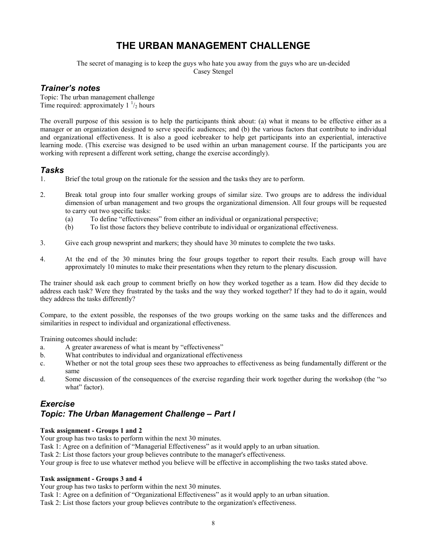# **THE URBAN MANAGEMENT CHALLENGE**

The secret of managing is to keep the guys who hate you away from the guys who are un-decided Casey Stengel

## *Trainer's notes*

Topic: The urban management challenge Time required: approximately  $1<sup>1</sup>/2$  hours

The overall purpose of this session is to help the participants think about: (a) what it means to be effective either as a manager or an organization designed to serve specific audiences; and (b) the various factors that contribute to individual and organizational effectiveness. It is also a good icebreaker to help get participants into an experiential, interactive learning mode. (This exercise was designed to be used within an urban management course. If the participants you are working with represent a different work setting, change the exercise accordingly).

## *Tasks*

- 1. Brief the total group on the rationale for the session and the tasks they are to perform.
- 2. Break total group into four smaller working groups of similar size. Two groups are to address the individual dimension of urban management and two groups the organizational dimension. All four groups will be requested to carry out two specific tasks:
	- (a) To define "effectiveness" from either an individual or organizational perspective;
	- (b) To list those factors they believe contribute to individual or organizational effectiveness.
- 3. Give each group newsprint and markers; they should have 30 minutes to complete the two tasks.
- 4. At the end of the 30 minutes bring the four groups together to report their results. Each group will have approximately 10 minutes to make their presentations when they return to the plenary discussion.

The trainer should ask each group to comment briefly on how they worked together as a team. How did they decide to address each task? Were they frustrated by the tasks and the way they worked together? If they had to do it again, would they address the tasks differently?

Compare, to the extent possible, the responses of the two groups working on the same tasks and the differences and similarities in respect to individual and organizational effectiveness.

Training outcomes should include:

- a. A greater awareness of what is meant by "effectiveness"
- b. What contributes to individual and organizational effectiveness
- c. Whether or not the total group sees these two approaches to effectiveness as being fundamentally different or the same
- d. Some discussion of the consequences of the exercise regarding their work together during the workshop (the "so what" factor).

## *Exercise Topic: The Urban Management Challenge – Part I*

#### **Task assignment - Groups 1 and 2**

Your group has two tasks to perform within the next 30 minutes.

Task 1: Agree on a definition of "Managerial Effectiveness" as it would apply to an urban situation.

Task 2: List those factors your group believes contribute to the manager's effectiveness.

Your group is free to use whatever method you believe will be effective in accomplishing the two tasks stated above.

#### **Task assignment - Groups 3 and 4**

Your group has two tasks to perform within the next 30 minutes.

Task 1: Agree on a definition of "Organizational Effectiveness" as it would apply to an urban situation.

Task 2: List those factors your group believes contribute to the organization's effectiveness.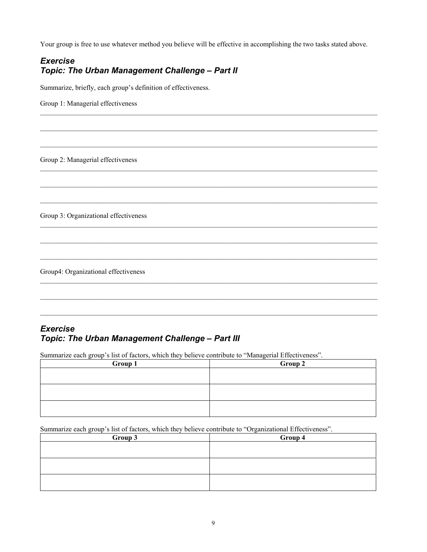Your group is free to use whatever method you believe will be effective in accomplishing the two tasks stated above.

 $\_$  , and the state of the state of the state of the state of the state of the state of the state of the state of the state of the state of the state of the state of the state of the state of the state of the state of the

 $\_$  , and the state of the state of the state of the state of the state of the state of the state of the state of the state of the state of the state of the state of the state of the state of the state of the state of the

 $\_$  , and the state of the state of the state of the state of the state of the state of the state of the state of the state of the state of the state of the state of the state of the state of the state of the state of the

 $\_$  , and the state of the state of the state of the state of the state of the state of the state of the state of the state of the state of the state of the state of the state of the state of the state of the state of the

 $\_$  , and the state of the state of the state of the state of the state of the state of the state of the state of the state of the state of the state of the state of the state of the state of the state of the state of the

 $\_$  , and the state of the state of the state of the state of the state of the state of the state of the state of the state of the state of the state of the state of the state of the state of the state of the state of the

 $\_$  , and the state of the state of the state of the state of the state of the state of the state of the state of the state of the state of the state of the state of the state of the state of the state of the state of the

 $\_$  , and the state of the state of the state of the state of the state of the state of the state of the state of the state of the state of the state of the state of the state of the state of the state of the state of the

## *Exercise Topic: The Urban Management Challenge – Part II*

Summarize, briefly, each group's definition of effectiveness.

Group 1: Managerial effectiveness

Group 2: Managerial effectiveness

Group 3: Organizational effectiveness

Group4: Organizational effectiveness

## *Exercise Topic: The Urban Management Challenge – Part III*

Summarize each group's list of factors, which they believe contribute to "Managerial Effectiveness".

| <b>Group 1</b> | Group 2 |  |  |  |  |
|----------------|---------|--|--|--|--|
|                |         |  |  |  |  |
|                |         |  |  |  |  |
|                |         |  |  |  |  |
|                |         |  |  |  |  |
|                |         |  |  |  |  |
|                |         |  |  |  |  |

Summarize each group's list of factors, which they believe contribute to "Organizational Effectiveness".

| Group 3 | Group 4 |  |  |  |  |
|---------|---------|--|--|--|--|
|         |         |  |  |  |  |
|         |         |  |  |  |  |
|         |         |  |  |  |  |
|         |         |  |  |  |  |
|         |         |  |  |  |  |
|         |         |  |  |  |  |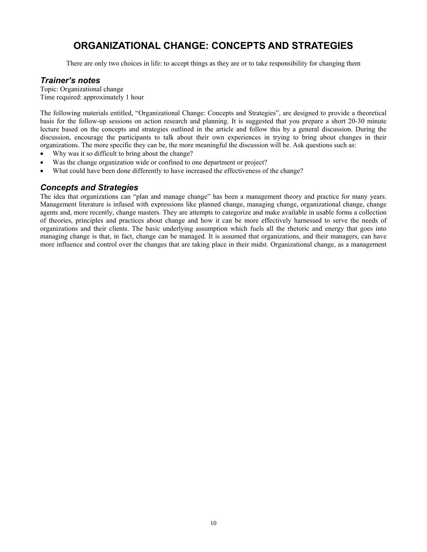# **ORGANIZATIONAL CHANGE: CONCEPTS AND STRATEGIES**

There are only two choices in life: to accept things as they are or to take responsibility for changing them

## *Trainer's notes*

Topic: Organizational change Time required: approximately 1 hour

The following materials entitled, "Organizational Change: Concepts and Strategies", are designed to provide a theoretical basis for the follow-up sessions on action research and planning. It is suggested that you prepare a short 20-30 minute lecture based on the concepts and strategies outlined in the article and follow this by a general discussion. During the discussion, encourage the participants to talk about their own experiences in trying to bring about changes in their organizations. The more specific they can be, the more meaningful the discussion will be. Ask questions such as:

- Why was it so difficult to bring about the change?
- Was the change organization wide or confined to one department or project?
- What could have been done differently to have increased the effectiveness of the change?

## *Concepts and Strategies*

The idea that organizations can "plan and manage change" has been a management theory and practice for many years. Management literature is infused with expressions like planned change, managing change, organizational change, change agents and, more recently, change masters. They are attempts to categorize and make available in usable forms a collection of theories, principles and practices about change and how it can be more effectively harnessed to serve the needs of organizations and their clients. The basic underlying assumption which fuels all the rhetoric and energy that goes into managing change is that, in fact, change can be managed. It is assumed that organizations, and their managers, can have more influence and control over the changes that are taking place in their midst. Organizational change, as a management is assumed that organizations, and their managers, can have

more influence and control over the changes that are taking place in their midst. Organizational change, as a management is assumed that organizations, and their managers, can have

more influence and control over the changes that are taking place in their midst. Organizational change, as a management is assumed that organizations, and their managers, can have

more influence and control over the changes that are taking place in their midst. Organizational change, as a management is assumed that organizations, and their managers, can have

more influence and control over the changes that are taking place in their midst. Organizational change, as a management is assumed that organizations, and their managers, can have

more influence and control over the changes that are taking place in their midst. Organizational change, as a management is assumed that organizations, and their managers, can have

more influence and control over the changes that are taking place in their midst. Organizational change, as a management is assumed that organizations, and their managers, can have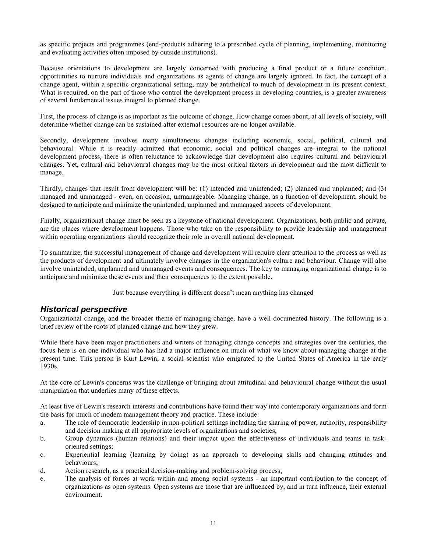as specific projects and programmes (end-products adhering to a prescribed cycle of planning, implementing, monitoring and evaluating activities often imposed by outside institutions).

Because orientations to development are largely concerned with producing a final product or a future condition, opportunities to nurture individuals and organizations as agents of change are largely ignored. In fact, the concept of a change agent, within a specific organizational setting, may be antithetical to much of development in its present context. What is required, on the part of those who control the development process in developing countries, is a greater awareness of several fundamental issues integral to planned change.

First, the process of change is as important as the outcome of change. How change comes about, at all levels of society, will determine whether change can be sustained after external resources are no longer available.

Secondly, development involves many simultaneous changes including economic, social, political, cultural and behavioural. While it is readily admitted that economic, social and political changes are integral to the national development process, there is often reluctance to acknowledge that development also requires cultural and behavioural changes. Yet, cultural and behavioural changes may be the most critical factors in development and the most difficult to manage.

Thirdly, changes that result from development will be: (1) intended and unintended; (2) planned and unplanned; and (3) managed and unmanaged - even, on occasion, unmanageable. Managing change, as a function of development, should be designed to anticipate and minimize the unintended, unplanned and unmanaged aspects of development.

Finally, organizational change must be seen as a keystone of national development. Organizations, both public and private, are the places where development happens. Those who take on the responsibility to provide leadership and management within operating organizations should recognize their role in overall national development.

To summarize, the successful management of change and development will require clear attention to the process as well as the products of development and ultimately involve changes in the organization's culture and behaviour. Change will also involve unintended, unplanned and unmanaged events and consequences. The key to managing organizational change is to anticipate and minimize these events and their consequences to the extent possible.

Just because everything is different doesn't mean anything has changed

#### *Historical perspective*

Organizational change, and the broader theme of managing change, have a well documented history. The following is a brief review of the roots of planned change and how they grew.

While there have been major practitioners and writers of managing change concepts and strategies over the centuries, the focus here is on one individual who has had a major influence on much of what we know about managing change at the present time. This person is Kurt Lewin, a social scientist who emigrated to the United States of America in the early 1930s.

At the core of Lewin's concerns was the challenge of bringing about attitudinal and behavioural change without the usual manipulation that underlies many of these effects.

At least five of Lewin's research interests and contributions have found their way into contemporary organizations and form the basis for much of modem management theory and practice. These include:

- a. The role of democratic leadership in non-political settings including the sharing of power, authority, responsibility and decision making at all appropriate levels of organizations and societies;
- b. Group dynamics (human relations) and their impact upon the effectiveness of individuals and teams in taskoriented settings;
- c. Experiential learning (learning by doing) as an approach to developing skills and changing attitudes and behaviours;
- d. Action research, as a practical decision-making and problem-solving process;
- e. The analysis of forces at work within and among social systems an important contribution to the concept of organizations as open systems. Open systems are those that are influenced by, and in turn influence, their external environment.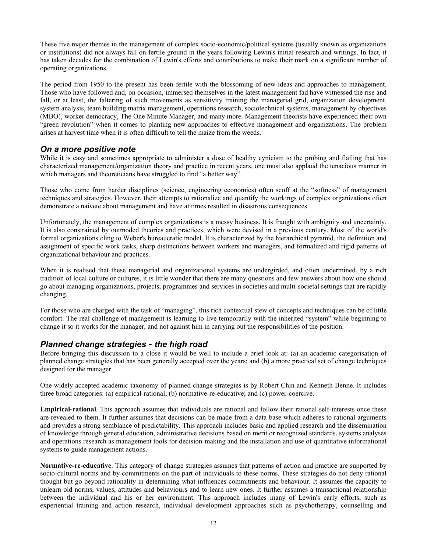These five major themes in the management of complex socio-economic/political systems (usually known as organizations or institutions) did not always fall on fertile ground in the years following Lewin's initial research and writings. In fact, it has taken decades for the combination of Lewin's efforts and contributions to make their mark on a significant number of operating organizations.

The period from 1950 to the present has been fertile with the blossoming of new ideas and approaches to management. Those who have followed and, on occasion, immersed themselves in the latest management fad have witnessed the rise and fall, or at least, the faltering of such movements as sensitivity training the managerial grid, organization development, system analysis, team building matrix management, operations research, sociotechnical systems, management by objectives (MBO), worker democracy, The One Minute Manager, and many more. Management theorists have experienced their own "green revolution" when it comes to planting new approaches to effective management and organizations. The problem arises at harvest time when it is often difficult to tell the maize from the weeds.

## *On a more positive note*

While it is easy and sometimes appropriate to administer a dose of healthy cynicism to the probing and flailing that has characterized management/organization theory and practice in recent years, one must also applaud the tenacious manner in which managers and theoreticians have struggled to find "a better way".

Those who come from harder disciplines (science, engineering economics) often scoff at the "softness" of management techniques and strategies. However, their attempts to rationalize and quantify the workings of complex organizations often demonstrate a naivete about management and have at times resulted in disastrous consequences.

Unfortunately, the management of complex organizations is a messy business. It is fraught with ambiguity and uncertainty. It is also constrained by outmoded theories and practices, which were devised in a previous century. Most of the world's formal organizations cling to Weber's bureaucratic model. It is characterized by the hierarchical pyramid, the definition and assignment of specific work tasks, sharp distinctions between workers and managers, and formalized and rigid patterns of organizational behaviour and practices.

When it is realised that these managerial and organizational systems are undergirded, and often undermined, by a rich tradition of local culture or cultures, it is little wonder that there are many questions and few answers about how one should go about managing organizations, projects, programmes and services in societies and multi-societal settings that are rapidly changing.

For those who are charged with the task of "managing", this rich contextual stew of concepts and techniques can be of little comfort. The real challenge of management is learning to live temporarily with the inherited "system" while beginning to change it so it works for the manager, and not against him in carrying out the responsibilities of the position.

## *Planned change strategies - the high road*

Before bringing this discussion to a close it would be well to include a brief look at: (a) an academic categorisation of planned change strategies that has been generally accepted over the years; and (b) a more practical set of change techniques designed for the manager.

One widely accepted academic taxonomy of planned change strategies is by Robert Chin and Kenneth Benne. It includes three broad categories: (a) empirical-rational; (b) normative-re-educative; and (c) power-coercive.

**Empirical-rational**. This approach assumes that individuals are rational and follow their rational self-interests once these are revealed to them. It further assumes that decisions can be made from a data base which adheres to rational arguments and provides a strong semblance of predictability. This approach includes basic and applied research and the dissemination of knowledge through general education, administrative decisions based on merit or recognized standards, systems analyses and operations research as management tools for decision-making and the installation and use of quantitative informational systems to guide management actions.

**Normative-re-educative**. This category of change strategies assumes that patterns of action and practice are supported by socio-cultural norms and by commitments on the part of individuals to these norms. These strategies do not deny rational thought but go beyond rationality in determining what influences commitments and behaviour. It assumes the capacity to unlearn old norms, values, attitudes and behaviours and to learn new ones. It further assumes a transactional relationship between the individual and his or her environment. This approach includes many of Lewin's early efforts, such as experiential training and action research, individual development approaches such as psychotherapy, counselling and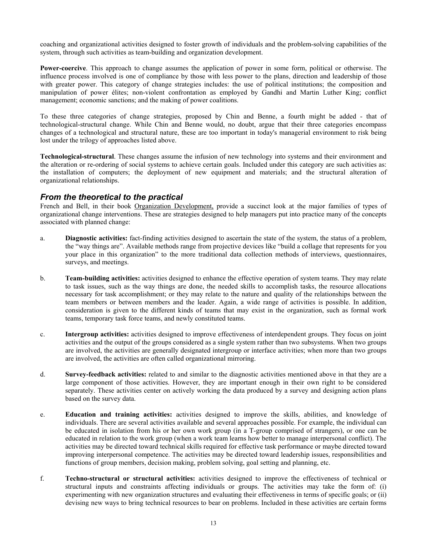coaching and organizational activities designed to foster growth of individuals and the problem-solving capabilities of the system, through such activities as team-building and organization development.

**Power-coercive**. This approach to change assumes the application of power in some form, political or otherwise. The influence process involved is one of compliance by those with less power to the plans, direction and leadership of those with greater power. This category of change strategies includes: the use of political institutions; the composition and manipulation of power élites; non-violent confrontation as employed by Gandhi and Martin Luther King; conflict management; economic sanctions; and the making of power coalitions.

To these three categories of change strategies, proposed by Chin and Benne, a fourth might be added - that of technological-structural change. While Chin and Benne would, no doubt, argue that their three categories encompass changes of a technological and structural nature, these are too important in today's managerial environment to risk being lost under the trilogy of approaches listed above.

**Technological-structural**. These changes assume the infusion of new technology into systems and their environment and the alteration or re-ordering of social systems to achieve certain goals. Included under this category are such activities as: the installation of computers; the deployment of new equipment and materials; and the structural alteration of organizational relationships.

## *From the theoretical to the practical*

French and Bell, in their book Organization Development, provide a succinct look at the major families of types of organizational change interventions. These are strategies designed to help managers put into practice many of the concepts associated with planned change:

- a. **Diagnostic activities:** fact-finding activities designed to ascertain the state of the system, the status of a problem, the "way things are". Available methods range from projective devices like "build a collage that represents for you your place in this organization" to the more traditional data collection methods of interviews, questionnaires, surveys, and meetings.
- b. **Team-building activities:** activities designed to enhance the effective operation of system teams. They may relate to task issues, such as the way things are done, the needed skills to accomplish tasks, the resource allocations necessary for task accomplishment; or they may relate to the nature and quality of the relationships between the team members or between members and the leader. Again, a wide range of activities is possible. In addition, consideration is given to the different kinds of teams that may exist in the organization, such as formal work teams, temporary task force teams, and newly constituted teams.
- c. **Intergroup activities:** activities designed to improve effectiveness of interdependent groups. They focus on joint activities and the output of the groups considered as a single system rather than two subsystems. When two groups are involved, the activities are generally designated intergroup or interface activities; when more than two groups are involved, the activities are often called organizational mirroring.
- d. **Survey-feedback activities:** related to and similar to the diagnostic activities mentioned above in that they are a large component of those activities. However, they are important enough in their own right to be considered separately. These activities center on actively working the data produced by a survey and designing action plans based on the survey data.
- e. **Education and training activities:** activities designed to improve the skills, abilities, and knowledge of individuals. There are several activities available and several approaches possible. For example, the individual can be educated in isolation from his or her own work group (in a T-group comprised of strangers), or one can be educated in relation to the work group (when a work team learns how better to manage interpersonal conflict). The activities may be directed toward technical skills required for effective task performance or maybe directed toward improving interpersonal competence. The activities may be directed toward leadership issues, responsibilities and functions of group members, decision making, problem solving, goal setting and planning, etc.
- f. **Techno-structural or structural activities:** activities designed to improve the effectiveness of technical or structural inputs and constraints affecting individuals or groups. The activities may take the form of: (i) experimenting with new organization structures and evaluating their effectiveness in terms of specific goals; or (ii) devising new ways to bring technical resources to bear on problems. Included in these activities are certain forms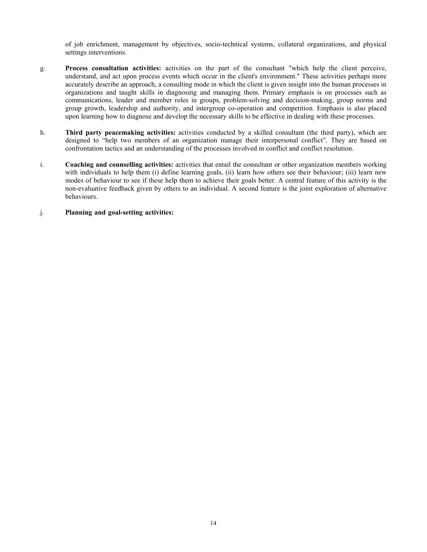of job enrichment, management by objectives, socio-technical systems, collateral organizations, and physical settings interventions.

- g. **Process consultation activities:** activities on the part of the consultant "which help the client perceive, understand, and act upon process events which occur in the client's environment." These activities perhaps more accurately describe an approach, a consulting mode in which the client is given insight into the human processes in organizations and taught skills in diagnosing and managing them. Primary emphasis is on processes such as communications, leader and member roles in groups, problem-solving and decision-making, group norms and group growth, leadership and authority, and intergroup co-operation and competition. Emphasis is also placed upon learning how to diagnose and develop the necessary skills to be effective in dealing with these processes.
- h. **Third party peacemaking activities:** activities conducted by a skilled consultant (the third party), which are designed to "help two members of an organization manage their interpersonal conflict". They are based on confrontation tactics and an understanding of the processes involved in conflict and conflict resolution.
- i. **Coaching and counselling activities:** activities that entail the consultant or other organization members working with individuals to help them (i) define learning goals, (ii) learn how others see their behaviour; (iii) learn new modes of behaviour to see if these help them to achieve their goals better. A central feature of this activity is the non-evaluative feedback given by others to an individual. A second feature is the joint exploration of alternative behaviours.

#### j. **Planning and goal-setting activities:**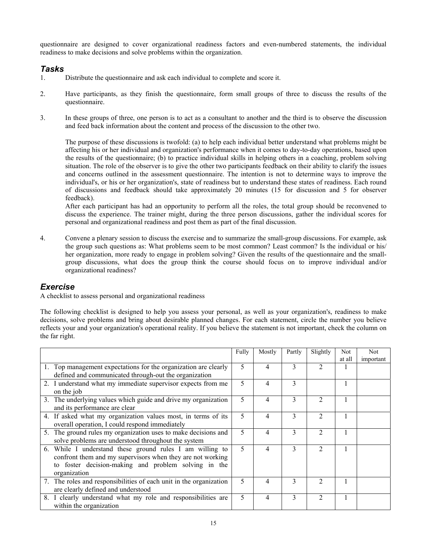questionnaire are designed to cover organizational readiness factors and even-numbered statements, the individual readiness to make decisions and solve problems within the organization.

## *Tasks*

- 1. Distribute the questionnaire and ask each individual to complete and score it.
- 2. Have participants, as they finish the questionnaire, form small groups of three to discuss the results of the questionnaire.
- 3. In these groups of three, one person is to act as a consultant to another and the third is to observe the discussion and feed back information about the content and process of the discussion to the other two.

 The purpose of these discussions is twofold: (a) to help each individual better understand what problems might be affecting his or her individual and organization's performance when it comes to day-to-day operations, based upon the results of the questionnaire; (b) to practice individual skills in helping others in a coaching, problem solving situation. The role of the observer is to give the other two participants feedback on their ability to clarify the issues and concerns outlined in the assessment questionnaire. The intention is not to determine ways to improve the individual's, or his or her organization's, state of readiness but to understand these states of readiness. Each round of discussions and feedback should take approximately 20 minutes (15 for discussion and 5 for observer feedback).

 After each participant has had an opportunity to perform all the roles, the total group should be reconvened to discuss the experience. The trainer might, during the three person discussions, gather the individual scores for personal and organizational readiness and post them as part of the final discussion.

4. Convene a plenary session to discuss the exercise and to summarize the small-group discussions. For example, ask the group such questions as: What problems seem to be most common? Least common? Is the individual or his/ her organization, more ready to engage in problem solving? Given the results of the questionnaire and the smallgroup discussions, what does the group think the course should focus on to improve individual and/or organizational readiness?

## *Exercise*

A checklist to assess personal and organizational readiness

The following checklist is designed to help you assess your personal, as well as your organization's, readiness to make decisions, solve problems and bring about desirable planned changes. For each statement, circle the number you believe reflects your and your organization's operational reality. If you believe the statement is not important, check the column on the far right.

|                                                                    | Fully | Mostly | Partly | Slightly       | Not    | Not.      |
|--------------------------------------------------------------------|-------|--------|--------|----------------|--------|-----------|
|                                                                    |       |        |        |                | at all | important |
| 1. Top management expectations for the organization are clearly    | 5     | 4      | 3      |                |        |           |
| defined and communicated through-out the organization              |       |        |        |                |        |           |
| 2. I understand what my immediate supervisor expects from me       | 5     | 4      | 3      |                |        |           |
| on the job                                                         |       |        |        |                |        |           |
| 3. The underlying values which guide and drive my organization     | 5     | 4      | 3      | 2              |        |           |
| and its performance are clear                                      |       |        |        |                |        |           |
| 4. If asked what my organization values most, in terms of its      | 5     | 4      | 3      | $\mathfrak{D}$ |        |           |
| overall operation, I could respond immediately                     |       |        |        |                |        |           |
| 5. The ground rules my organization uses to make decisions and     | 5     | 4      | 3      |                |        |           |
| solve problems are understood throughout the system                |       |        |        |                |        |           |
| 6. While I understand these ground rules I am willing to           | 5     | 4      | 3      | $\mathfrak{D}$ |        |           |
| confront them and my supervisors when they are not working         |       |        |        |                |        |           |
| to foster decision-making and problem solving in the               |       |        |        |                |        |           |
| organization                                                       |       |        |        |                |        |           |
| 7. The roles and responsibilities of each unit in the organization | 5     | 4      | 3      |                |        |           |
| are clearly defined and understood                                 |       |        |        |                |        |           |
| 8. I clearly understand what my role and responsibilities are      | 5     | 4      | 3      | っ              |        |           |
| within the organization                                            |       |        |        |                |        |           |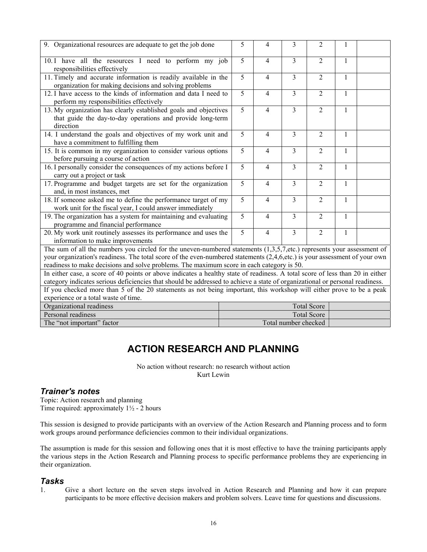| 9. Organizational resources are adequate to get the job done                                                                                                                                                                                                                                                                                        | 5              | $\overline{4}$ | 3                       | $\overline{2}$     | 1            |  |
|-----------------------------------------------------------------------------------------------------------------------------------------------------------------------------------------------------------------------------------------------------------------------------------------------------------------------------------------------------|----------------|----------------|-------------------------|--------------------|--------------|--|
| 10.1 have all the resources I need to perform my job<br>responsibilities effectively                                                                                                                                                                                                                                                                | $\overline{5}$ | 4              | 3                       | $\overline{2}$     | 1            |  |
| 11. Timely and accurate information is readily available in the<br>organization for making decisions and solving problems                                                                                                                                                                                                                           | 5              | 4              | 3                       | $\overline{2}$     | 1            |  |
| 12. I have access to the kinds of information and data I need to<br>perform my responsibilities effectively                                                                                                                                                                                                                                         | 5              | 4              | 3                       | $\overline{2}$     | $\mathbf{1}$ |  |
| 13. My organization has clearly established goals and objectives<br>that guide the day-to-day operations and provide long-term<br>direction                                                                                                                                                                                                         | 5              | $\overline{4}$ | $\overline{3}$          | $\overline{2}$     | $\mathbf{1}$ |  |
| 14. I understand the goals and objectives of my work unit and<br>have a commitment to fulfilling them                                                                                                                                                                                                                                               | $\overline{5}$ | $\overline{4}$ | 3                       | $\overline{2}$     | $\mathbf{1}$ |  |
| 15. It is common in my organization to consider various options<br>before pursuing a course of action                                                                                                                                                                                                                                               | 5              | $\overline{4}$ | 3                       | $\overline{2}$     | 1            |  |
| 16. I personally consider the consequences of my actions before I<br>carry out a project or task                                                                                                                                                                                                                                                    | 5              | 4              | 3                       | $\overline{2}$     | 1            |  |
| 17. Programme and budget targets are set for the organization<br>and, in most instances, met                                                                                                                                                                                                                                                        | 5              | $\overline{4}$ | $\overline{3}$          | $\overline{2}$     | $\mathbf{1}$ |  |
| 18. If someone asked me to define the performance target of my<br>work unit for the fiscal year, I could answer immediately                                                                                                                                                                                                                         | $\overline{5}$ | $\overline{4}$ | $\overline{3}$          | $\overline{2}$     | $\mathbf{1}$ |  |
| 19. The organization has a system for maintaining and evaluating<br>programme and financial performance                                                                                                                                                                                                                                             | $\overline{5}$ | 4              | $\overline{\mathbf{3}}$ | $\overline{2}$     | $\mathbf{1}$ |  |
| 20. My work unit routinely assesses its performance and uses the<br>information to make improvements                                                                                                                                                                                                                                                | 5              | $\overline{4}$ | 3                       | $\overline{2}$     | 1            |  |
| The sum of all the numbers you circled for the uneven-numbered statements $(1,3,5,7,etc.)$ represents your assessment of<br>your organization's readiness. The total score of the even-numbered statements (2,4,6,etc.) is your assessment of your own<br>readiness to make decisions and solve problems. The maximum score in each category is 50. |                |                |                         |                    |              |  |
| In either case, a score of 40 points or above indicates a healthy state of readiness. A total score of less than 20 in either<br>category indicates serious deficiencies that should be addressed to achieve a state of organizational or personal readiness.                                                                                       |                |                |                         |                    |              |  |
| If you checked more than 5 of the 20 statements as not being important, this workshop will either prove to be a peak<br>experience or a total waste of time.                                                                                                                                                                                        |                |                |                         |                    |              |  |
| Organizational readiness                                                                                                                                                                                                                                                                                                                            |                |                |                         | <b>Total Score</b> |              |  |
| Personal readiness                                                                                                                                                                                                                                                                                                                                  |                |                |                         | <b>Total Score</b> |              |  |
| The "not important" factor<br>Total number checked                                                                                                                                                                                                                                                                                                  |                |                |                         |                    |              |  |

# **ACTION RESEARCH AND PLANNING**

No action without research: no research without action Kurt Lewin

## *Trainer's notes*

Topic: Action research and planning Time required: approximately  $1\frac{1}{2}$  - 2 hours

This session is designed to provide participants with an overview of the Action Research and Planning process and to form work groups around performance deficiencies common to their individual organizations.

The assumption is made for this session and following ones that it is most effective to have the training participants apply the various steps in the Action Research and Planning process to specific performance problems they are experiencing in their organization.

## *Tasks*

1. Give a short lecture on the seven steps involved in Action Research and Planning and how it can prepare participants to be more effective decision makers and problem solvers. Leave time for questions and discussions.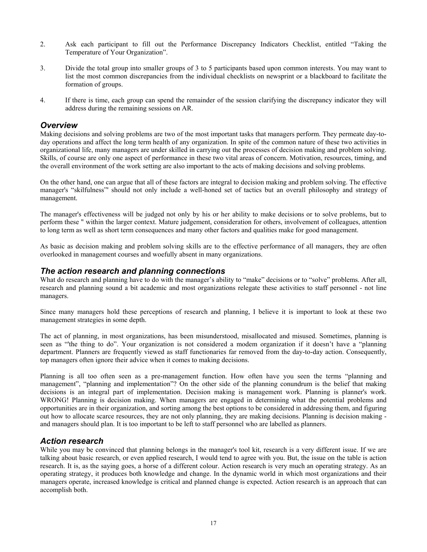- 2. Ask each participant to fill out the Performance Discrepancy Indicators Checklist, entitled "Taking the Temperature of Your Organization".
- 3. Divide the total group into smaller groups of 3 to 5 participants based upon common interests. You may want to list the most common discrepancies from the individual checklists on newsprint or a blackboard to facilitate the formation of groups.
- 4. If there is time, each group can spend the remainder of the session clarifying the discrepancy indicator they will address during the remaining sessions on AR.

### *Overview*

Making decisions and solving problems are two of the most important tasks that managers perform. They permeate day-today operations and affect the long term health of any organization. In spite of the common nature of these two activities in organizational life, many managers are under skilled in carrying out the processes of decision making and problem solving. Skills, of course are only one aspect of performance in these two vital areas of concern. Motivation, resources, timing, and the overall environment of the work setting are also important to the acts of making decisions and solving problems.

On the other hand, one can argue that all of these factors are integral to decision making and problem solving. The effective manager's "skilfulness"' should not only include a well-honed set of tactics but an overall philosophy and strategy of management.

The manager's effectiveness will be judged not only by his or her ability to make decisions or to solve problems, but to perform these " within the larger context. Mature judgement, consideration for others, involvement of colleagues, attention to long term as well as short term consequences and many other factors and qualities make for good management.

As basic as decision making and problem solving skills are to the effective performance of all managers, they are often overlooked in management courses and woefully absent in many organizations.

## *The action research and planning connections*

What do research and planning have to do with the manager's ability to "make" decisions or to "solve" problems. After all, research and planning sound a bit academic and most organizations relegate these activities to staff personnel - not line managers.

Since many managers hold these perceptions of research and planning, I believe it is important to look at these two management strategies in some depth.

The act of planning, in most organizations, has been misunderstood, misallocated and misused. Sometimes, planning is seen as "'the thing to do". Your organization is not considered a modem organization if it doesn't have a "planning department. Planners are frequently viewed as staff functionaries far removed from the day-to-day action. Consequently, top managers often ignore their advice when it comes to making decisions.

Planning is all too often seen as a pre-management function. How often have you seen the terms "planning and management", "planning and implementation"? On the other side of the planning conundrum is the belief that making decisions is an integral part of implementation. Decision making is management work. Planning is planner's work. WRONG! Planning is decision making. When managers are engaged in determining what the potential problems and opportunities are in their organization, and sorting among the best options to be considered in addressing them, and figuring out how to allocate scarce resources, they are not only planning, they are making decisions. Planning is decision making and managers should plan. It is too important to be left to staff personnel who are labelled as planners.

## *Action research*

While you may be convinced that planning belongs in the manager's tool kit, research is a very different issue. If we are talking about basic research, or even applied research, I would tend to agree with you. But, the issue on the table is action research. It is, as the saying goes, a horse of a different colour. Action research is very much an operating strategy. As an operating strategy, it produces both knowledge and change. In the dynamic world in which most organizations and their managers operate, increased knowledge is critical and planned change is expected. Action research is an approach that can accomplish both.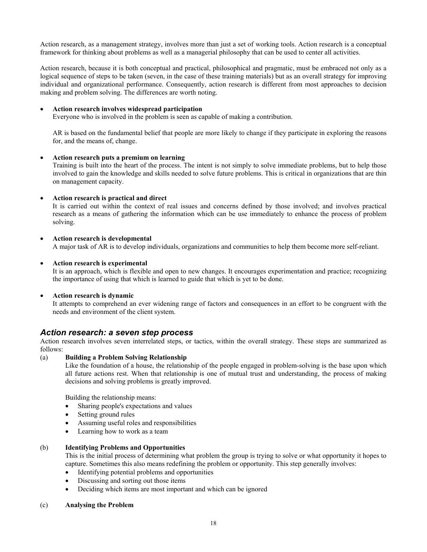Action research, as a management strategy, involves more than just a set of working tools. Action research is a conceptual framework for thinking about problems as well as a managerial philosophy that can be used to center all activities.

Action research, because it is both conceptual and practical, philosophical and pragmatic, must be embraced not only as a logical sequence of steps to be taken (seven, in the case of these training materials) but as an overall strategy for improving individual and organizational performance. Consequently, action research is different from most approaches to decision making and problem solving. The differences are worth noting.

#### • **Action research involves widespread participation**

Everyone who is involved in the problem is seen as capable of making a contribution.

AR is based on the fundamental belief that people are more likely to change if they participate in exploring the reasons for, and the means of, change.

#### • **Action research puts a premium on learning**

Training is built into the heart of the process. The intent is not simply to solve immediate problems, but to help those involved to gain the knowledge and skills needed to solve future problems. This is critical in organizations that are thin on management capacity.

#### • **Action research is practical and direct**

It is carried out within the context of real issues and concerns defined by those involved; and involves practical research as a means of gathering the information which can be use immediately to enhance the process of problem solving.

#### • **Action research is developmental**

A major task of AR is to develop individuals, organizations and communities to help them become more self-reliant.

#### • **Action research is experimental**

It is an approach, which is flexible and open to new changes. It encourages experimentation and practice; recognizing the importance of using that which is learned to guide that which is yet to be done.

#### • **Action research is dynamic**

It attempts to comprehend an ever widening range of factors and consequences in an effort to be congruent with the needs and environment of the client system.

#### *Action research: a seven step process*

Action research involves seven interrelated steps, or tactics, within the overall strategy. These steps are summarized as follows:

#### (a) **Building a Problem Solving Relationship**

Like the foundation of a house, the relationship of the people engaged in problem-solving is the base upon which all future actions rest. When that relationship is one of mutual trust and understanding, the process of making decisions and solving problems is greatly improved.

Building the relationship means:

- Sharing people's expectations and values
- Setting ground rules
- Assuming useful roles and responsibilities
- Learning how to work as a team

#### (b) **Identifying Problems and Opportunities**

This is the initial process of determining what problem the group is trying to solve or what opportunity it hopes to capture. Sometimes this also means redefining the problem or opportunity. This step generally involves:

- Identifying potential problems and opportunities
- Discussing and sorting out those items
- Deciding which items are most important and which can be ignored

#### (c) **Analysing the Problem**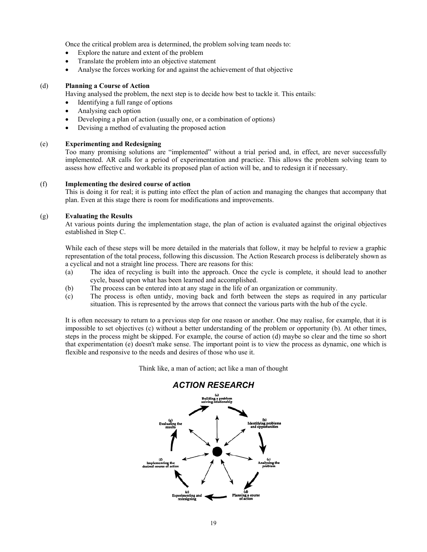Once the critical problem area is determined, the problem solving team needs to:

- Explore the nature and extent of the problem
- Translate the problem into an objective statement
- Analyse the forces working for and against the achievement of that objective

#### (d) **Planning a Course of Action**

Having analysed the problem, the next step is to decide how best to tackle it. This entails:

- Identifying a full range of options
- Analysing each option
- Developing a plan of action (usually one, or a combination of options)
- Devising a method of evaluating the proposed action

#### (e) **Experimenting and Redesigning**

Too many promising solutions are "implemented" without a trial period and, in effect, are never successfully implemented. AR calls for a period of experimentation and practice. This allows the problem solving team to assess how effective and workable its proposed plan of action will be, and to redesign it if necessary.

#### (f) **Implementing the desired course of action**

This is doing it for real; it is putting into effect the plan of action and managing the changes that accompany that plan. Even at this stage there is room for modifications and improvements.

#### (g) **Evaluating the Results**

At various points during the implementation stage, the plan of action is evaluated against the original objectives established in Step C.

While each of these steps will be more detailed in the materials that follow, it may be helpful to review a graphic representation of the total process, following this discussion. The Action Research process is deliberately shown as a cyclical and not a straight line process. There are reasons for this:

- (a) The idea of recycling is built into the approach. Once the cycle is complete, it should lead to another cycle, based upon what has been learned and accomplished.
- (b) The process can be entered into at any stage in the life of an organization or community.
- (c) The process is often untidy, moving back and forth between the steps as required in any particular situation. This is represented by the arrows that connect the various parts with the hub of the cycle.

It is often necessary to return to a previous step for one reason or another. One may realise, for example, that it is impossible to set objectives (c) without a better understanding of the problem or opportunity (b). At other times, steps in the process might be skipped. For example, the course of action (d) maybe so clear and the time so short that experimentation (e) doesn't make sense. The important point is to view the process as dynamic, one which is flexible and responsive to the needs and desires of those who use it.

Think like, a man of action; act like a man of thought

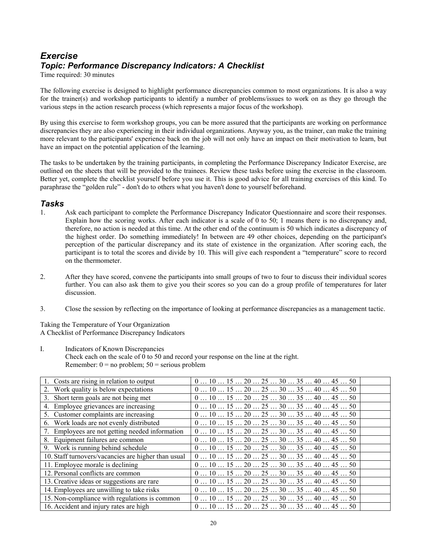# *Exercise Topic: Performance Discrepancy Indicators: A Checklist*

Time required: 30 minutes

The following exercise is designed to highlight performance discrepancies common to most organizations. It is also a way for the trainer(s) and workshop participants to identify a number of problems/issues to work on as they go through the various steps in the action research process (which represents a major focus of the workshop).

By using this exercise to form workshop groups, you can be more assured that the participants are working on performance discrepancies they are also experiencing in their individual organizations. Anyway you, as the trainer, can make the training more relevant to the participants' experience back on the job will not only have an impact on their motivation to learn, but have an impact on the potential application of the learning.

The tasks to be undertaken by the training participants, in completing the Performance Discrepancy Indicator Exercise, are outlined on the sheets that will be provided to the trainees. Review these tasks before using the exercise in the classroom. Better yet, complete the checklist yourself before you use it. This is good advice for all training exercises of this kind. To paraphrase the "golden rule" - don't do to others what you haven't done to yourself beforehand.

## *Tasks*

- 1. Ask each participant to complete the Performance Discrepancy Indicator Questionnaire and score their responses. Explain how the scoring works. After each indicator is a scale of 0 to 50; 1 means there is no discrepancy and, therefore, no action is needed at this time. At the other end of the continuum is 50 which indicates a discrepancy of the highest order. Do something immediately! In between are 49 other choices, depending on the participant's perception of the particular discrepancy and its state of existence in the organization. After scoring each, the participant is to total the scores and divide by 10. This will give each respondent a "temperature" score to record on the thermometer.
- 2. After they have scored, convene the participants into small groups of two to four to discuss their individual scores further. You can also ask them to give you their scores so you can do a group profile of temperatures for later discussion.
- 3. Close the session by reflecting on the importance of looking at performance discrepancies as a management tactic.

Taking the Temperature of Your Organization A Checklist of Performance Discrepancy Indicators

I. Indicators of Known Discrepancies Check each on the scale of 0 to 50 and record your response on the line at the right. Remember:  $0 = no$  problem;  $50 =$  serious problem

| $\overline{1.}$ Costs are rising in relation to output | $0 10 15 20 25 30 35 40 45 50$                                                       |
|--------------------------------------------------------|--------------------------------------------------------------------------------------|
| 2. Work quality is below expectations                  | $0 10 15 20 25 30 35 40 45 50$                                                       |
| 3. Short term goals are not being met                  | $0 10 15 20 25 30 35 40 45 50$                                                       |
| 4. Employee grievances are increasing                  | $0 10 15 20 25 30 35 40 45 50$                                                       |
| 5. Customer complaints are increasing                  | $0 10 15 20 25 30 35 40 45 50$                                                       |
| 6. Work loads are not evenly distributed               | $0 10 15 20 25 30 35 40 45 50$                                                       |
| 7. Employees are not getting needed information        | $0 \dots 10 \dots 15 \dots 20 \dots 25 \dots 30 \dots 35 \dots 40 \dots 45 \dots 50$ |
| 8. Equipment failures are common                       | $0 10 15 20 25 30 35 40 45 50$                                                       |
| 9. Work is running behind schedule                     | $0 10 15 20 25 30 35 40 45 50$                                                       |
| 10. Staff turnovers/vacancies are higher than usual    | $0 10 15 20 25 30 35 40 45 50$                                                       |
| 11. Employee morale is declining                       | $0 10 15 20 25 30 35 40 45 50$                                                       |
| 12. Personal conflicts are common                      | $0 10 15 20 25 30 35 40 45 50$                                                       |
| 13. Creative ideas or suggestions are rare             | $0 10 15 20 25 30 35 40 45 50$                                                       |
| 14. Employees are unwilling to take risks              | $0 10 15 20 25 30 35 40 45 50$                                                       |
| 15. Non-compliance with regulations is common          | $0 10 15 20 25 30 35 40 45 50$                                                       |
| 16. Accident and injury rates are high                 | $0 10 15 20 25 30 35 40 45 50$                                                       |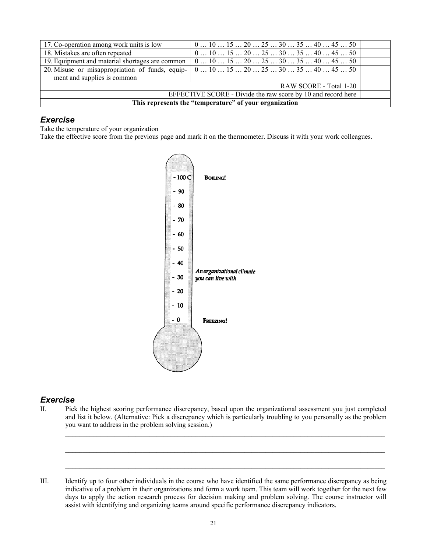| 17. Co-operation among work units is low                     | $0 10 15 20 25 30 35 40 45 50$                                                                                                                                                                         |  |  |
|--------------------------------------------------------------|--------------------------------------------------------------------------------------------------------------------------------------------------------------------------------------------------------|--|--|
| 18. Mistakes are often repeated                              | $0 10 15 20 25 30 35 40 45 50$                                                                                                                                                                         |  |  |
| 19. Equipment and material shortages are common              | $\vert 0 \ldots 10 \ldots 15 \ldots 20 \ldots 25 \ldots 30 \ldots 35 \ldots 40 \ldots 45 \ldots 50 \vert$                                                                                              |  |  |
|                                                              | 20. Misuse or misappropriation of funds, equip- $\begin{bmatrix} 0 & \dots & 10 & \dots & 15 & \dots & 20 & \dots & 25 & \dots & 30 & \dots & 35 & \dots & 40 & \dots & 45 & \dots & 50 \end{bmatrix}$ |  |  |
| ment and supplies is common                                  |                                                                                                                                                                                                        |  |  |
| RAW SCORE - Total 1-20                                       |                                                                                                                                                                                                        |  |  |
| EFFECTIVE SCORE - Divide the raw score by 10 and record here |                                                                                                                                                                                                        |  |  |
| This represents the "temperature" of your organization       |                                                                                                                                                                                                        |  |  |

## *Exercise*

Take the temperature of your organization

Take the effective score from the previous page and mark it on the thermometer. Discuss it with your work colleagues.



## *Exercise*

II. Pick the highest scoring performance discrepancy, based upon the organizational assessment you just completed and list it below. (Alternative: Pick a discrepancy which is particularly troubling to you personally as the problem you want to address in the problem solving session.)

 $\mathcal{L}_\mathcal{L} = \mathcal{L}_\mathcal{L}$ 

 $\_$  , and the state of the state of the state of the state of the state of the state of the state of the state of the state of the state of the state of the state of the state of the state of the state of the state of the

III. Identify up to four other individuals in the course who have identified the same performance discrepancy as being indicative of a problem in their organizations and form a work team. This team will work together for the next few days to apply the action research process for decision making and problem solving. The course instructor will assist with identifying and organizing teams around specific performance discrepancy indicators.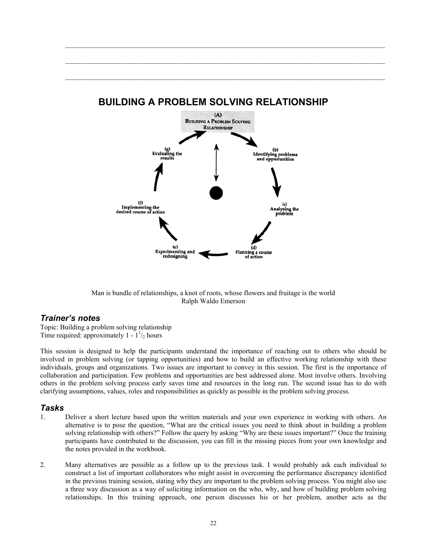

# **BUILDING A PROBLEM SOLVING RELATIONSHIP**

 $\_$  , and the state of the state of the state of the state of the state of the state of the state of the state of the state of the state of the state of the state of the state of the state of the state of the state of the

 $\_$  , and the state of the state of the state of the state of the state of the state of the state of the state of the state of the state of the state of the state of the state of the state of the state of the state of the

Man is bundle of relationships, a knot of roots, whose flowers and fruitage is the world Ralph Waldo Emerson

## *Trainer's notes*

Topic: Building a problem solving relationship Time required: approximately  $1 - 1^{1/2}$  hours

This session is designed to help the participants understand the importance of reaching out to others who should be involved in problem solving (or tapping opportunities) and how to build an effective working relationship with these individuals, groups and organizations. Two issues are important to convey in this session. The first is the importance of collaboration and participation. Few problems and opportunities are best addressed alone. Most involve others. Involving others in the problem solving process early saves time and resources in the long run. The second issue has to do with clarifying assumptions, values, roles and responsibilities as quickly as possible in the problem solving process.

## *Tasks*

- 1. Deliver a short lecture based upon the written materials and your own experience in working with others. An alternative is to pose the question, "What are the critical issues you need to think about in building a problem solving relationship with others?" Follow the query by asking "Why are these issues important?" Once the training participants have contributed to the discussion, you can fill in the missing pieces from your own knowledge and the notes provided in the workbook.
- 2. Many alternatives are possible as a follow up to the previous task. I would probably ask each individual to construct a list of important collaborators who might assist in overcoming the performance discrepancy identified in the previous training session, stating why they are important to the problem solving process. You might also use a three way discussion as a way of soliciting information on the who, why, and how of building problem solving relationships. In this training approach, one person discusses his or her problem, another acts as the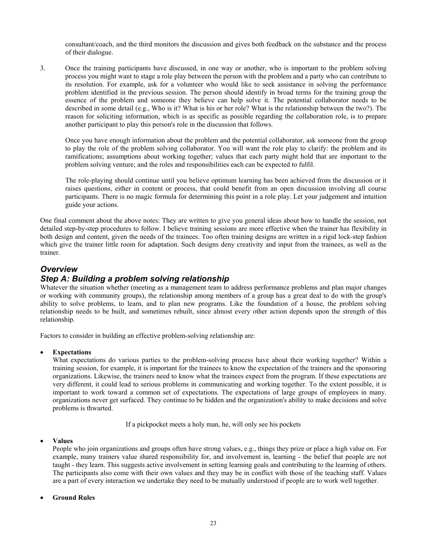consultant/coach, and the third monitors the discussion and gives both feedback on the substance and the process of their dialogue.

3. Once the training participants have discussed, in one way or another, who is important to the problem solving process you might want to stage a role play between the person with the problem and a party who can contribute to its resolution. For example, ask for a volunteer who would like to seek assistance in solving the performance problem identified in the previous session. The person should identify in broad terms for the training group the essence of the problem and someone they believe can help solve it. The potential collaborator needs to be described in some detail (e.g., Who is it? What is his or her role? What is the relationship between the two?). The reason for soliciting information, which is as specific as possible regarding the collaboration role, is to prepare another participant to play this person's role in the discussion that follows.

Once you have enough information about the problem and the potential collaborator, ask someone from the group to play the role of the problem solving collaborator. You will want the role play to clarify: the problem and its ramifications; assumptions about working together; values that each party might hold that are important to the problem solving venture; and the roles and responsibilities each can be expected to fulfil.

The role-playing should continue until you believe optimum learning has been achieved from the discussion or it raises questions, either in content or process, that could benefit from an open discussion involving all course participants. There is no magic formula for determining this point in a role play. Let your judgement and intuition guide your actions.

One final comment about the above notes: They are written to give you general ideas about how to handle the session, not detailed step-by-step procedures to follow. I believe training sessions are more effective when the trainer has flexibility in both design and content, given the needs of the trainees. Too often training designs are written in a rigid lock-step fashion which give the trainer little room for adaptation. Such designs deny creativity and input from the trainees, as well as the trainer.

## *Overview*

## *Step A: Building a problem solving relationship*

Whatever the situation whether (meeting as a management team to address performance problems and plan major changes or working with community groups), the relationship among members of a group has a great deal to do with the group's ability to solve problems, to learn, and to plan new programs. Like the foundation of a house, the problem solving relationship needs to be built, and sometimes rebuilt, since almost every other action depends upon the strength of this relationship.

Factors to consider in building an effective problem-solving relationship are:

#### • **Expectations**

What expectations do various parties to the problem-solving process have about their working together? Within a training session, for example, it is important for the trainees to know the expectation of the trainers and the sponsoring organizations. Likewise, the trainers need to know what the trainees expect from the program. If these expectations are very different, it could lead to serious problems in communicating and working together. To the extent possible, it is important to work toward a common set of expectations. The expectations of large groups of employees in many. organizations never get surfaced. They continue to be hidden and the organization's ability to make decisions and solve problems is thwarted.

If a pickpocket meets a holy man, he, will only see his pockets

#### • **Values**

People who join organizations and groups often have strong values, e.g., things they prize or place a high value on. For example, many trainers value shared responsibility for, and involvement in, learning - the belief that people are not taught - they learn. This suggests active involvement in setting learning goals and contributing to the learning of others. The participants also come with their own values and they may be in conflict with those of the teaching staff. Values are a part of every interaction we undertake they need to be mutually understood if people are to work well together.

#### • **Ground Rules**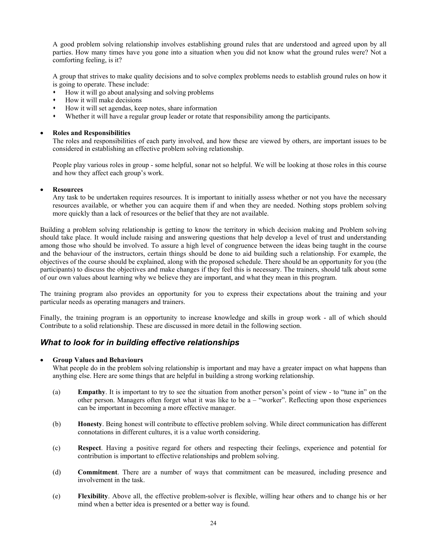A good problem solving relationship involves establishing ground rules that are understood and agreed upon by all parties. How many times have you gone into a situation when you did not know what the ground rules were? Not a comforting feeling, is it?

A group that strives to make quality decisions and to solve complex problems needs to establish ground rules on how it is going to operate. These include:

- How it will go about analysing and solving problems
- How it will make decisions
- How it will set agendas, keep notes, share information
- Whether it will have a regular group leader or rotate that responsibility among the participants.

#### • **Roles and Responsibilities**

The roles and responsibilities of each party involved, and how these are viewed by others, are important issues to be considered in establishing an effective problem solving relationship.

People play various roles in group - some helpful, sonar not so helpful. We will be looking at those roles in this course and how they affect each group's work.

#### • **Resources**

Any task to be undertaken requires resources. It is important to initially assess whether or not you have the necessary resources available, or whether you can acquire them if and when they are needed. Nothing stops problem solving more quickly than a lack of resources or the belief that they are not available.

Building a problem solving relationship is getting to know the territory in which decision making and Problem solving should take place. It would include raising and answering questions that help develop a level of trust and understanding among those who should be involved. To assure a high level of congruence between the ideas being taught in the course and the behaviour of the instructors, certain things should be done to aid building such a relationship. For example, the objectives of the course should be explained, along with the proposed schedule. There should be an opportunity for you (the participants) to discuss the objectives and make changes if they feel this is necessary. The trainers, should talk about some of our own values about learning why we believe they are important, and what they mean in this program.

The training program also provides an opportunity for you to express their expectations about the training and your particular needs as operating managers and trainers.

Finally, the training program is an opportunity to increase knowledge and skills in group work - all of which should Contribute to a solid relationship. These are discussed in more detail in the following section.

## *What to look for in building effective relationships*

#### • **Group Values and Behaviours**

What people do in the problem solving relationship is important and may have a greater impact on what happens than anything else. Here are some things that are helpful in building a strong working relationship.

- (a) **Empathy**. It is important to try to see the situation from another person's point of view to "tune in" on the other person. Managers often forget what it was like to be a – "worker". Reflecting upon those experiences can be important in becoming a more effective manager.
- (b) **Honesty**. Being honest will contribute to effective problem solving. While direct communication has different connotations in different cultures, it is a value worth considering.
- (c) **Respect**. Having a positive regard for others and respecting their feelings, experience and potential for contribution is important to effective relationships and problem solving.
- (d) **Commitment**. There are a number of ways that commitment can be measured, including presence and involvement in the task.
- (e) **Flexibility**. Above all, the effective problem-solver is flexible, willing hear others and to change his or her mind when a better idea is presented or a better way is found.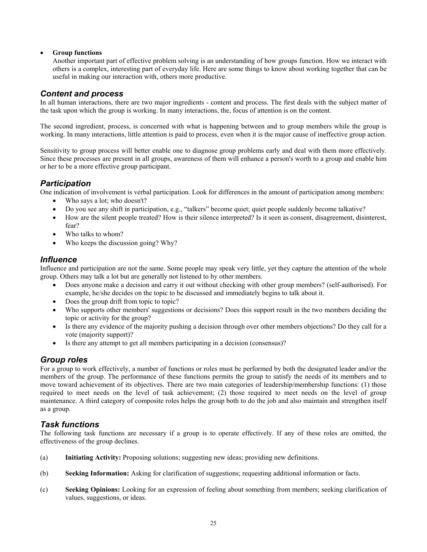#### • **Group functions**

Another important part of effective problem solving is an understanding of how groups function. How we interact with others is a complex, interesting part of everyday life. Here are some things to know about working together that can be useful in making our interaction with, others more productive.

## *Content and process*

In all human interactions, there are two major ingredients - content and process. The first deals with the subject matter of the task upon which the group is working. In many interactions, the, focus of attention is on the content.

The second ingredient, process, is concerned with what is happening between and to group members while the group is working. In many interactions, little attention is paid to process, even when it is the major cause of ineffective group action.

Sensitivity to group process will better enable one to diagnose group problems early and deal with them more effectively. Since these processes are present in all groups, awareness of them will enhance a person's worth to a group and enable him or her to be a more effective group participant.

## *Participation*

One indication of involvement is verbal participation. Look for differences in the amount of participation among members:

- Who says a lot: who doesn't?
- Do you see any shift in participation, e.g., "talkers" become quiet; quiet people suddenly become talkative?
- How are the silent people treated? How is their silence interpreted? Is it seen as consent, disagreement, disinterest, fear?
- Who talks to whom?
- Who keeps the discussion going? Why?

## *Influence*

Influence and participation are not the same. Some people may speak very little, yet they capture the attention of the whole group. Others may talk a lot but are generally not listened to by other members.

- Does anyone make a decision and carry it out without checking with other group members? (self-authorised). For example, he/she decides on the topic to be discussed and immediately begins to talk about it.
- Does the group drift from topic to topic?
- Who supports other members' suggestions or decisions? Does this support result in the two members deciding the topic or activity for the group?
- Is there any evidence of the majority pushing a decision through over other members objections? Do they call for a vote (majority support)?
- Is there any attempt to get all members participating in a decision (consensus)?

## *Group roles*

For a group to work effectively, a number of functions or roles must be performed by both the designated leader and/or the members of the group. The performance of these functions permits the group to satisfy the needs of its members and to move toward achievement of its objectives. There are two main categories of leadership/membership functions: (1) those required to meet needs on the level of task achievement; (2) those required to meet needs on the level of group maintenance. A third category of composite roles helps the group both to do the job and also maintain and strengthen itself as a group.

## *Task functions*

The following task functions are necessary if a group is to operate effectively. If any of these roles are omitted, the effectiveness of the group declines.

- (a) **Initiating Activity:** Proposing solutions; suggesting new ideas; providing new definitions.
- (b) **Seeking Information:** Asking for clarification of suggestions; requesting additional information or facts.
- (c) **Seeking Opinions:** Looking for an expression of feeling about something from members; seeking clarification of values, suggestions, or ideas.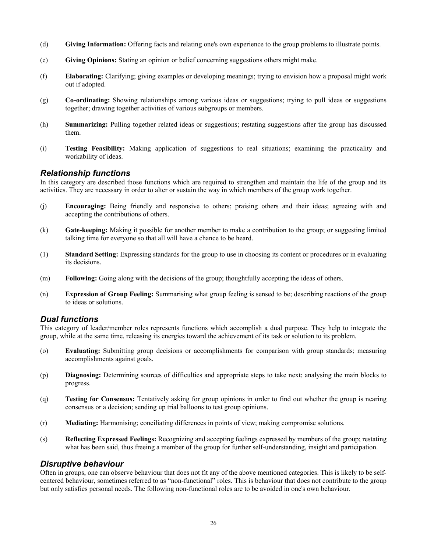- (d) **Giving Information:** Offering facts and relating one's own experience to the group problems to illustrate points.
- (e) **Giving Opinions:** Stating an opinion or belief concerning suggestions others might make.
- (f) **Elaborating:** Clarifying; giving examples or developing meanings; trying to envision how a proposal might work out if adopted.
- (g) **Co-ordinating:** Showing relationships among various ideas or suggestions; trying to pull ideas or suggestions together; drawing together activities of various subgroups or members.
- (h) **Summarizing:** Pulling together related ideas or suggestions; restating suggestions after the group has discussed them.
- (i) **Testing Feasibility:** Making application of suggestions to real situations; examining the practicality and workability of ideas.

#### *Relationship functions*

In this category are described those functions which are required to strengthen and maintain the life of the group and its activities. They are necessary in order to alter or sustain the way in which members of the group work together.

- (j) **Encouraging:** Being friendly and responsive to others; praising others and their ideas; agreeing with and accepting the contributions of others.
- (k) **Gate-keeping:** Making it possible for another member to make a contribution to the group; or suggesting limited talking time for everyone so that all will have a chance to be heard.
- (1) **Standard Setting:** Expressing standards for the group to use in choosing its content or procedures or in evaluating its decisions.
- (m) **Following:** Going along with the decisions of the group; thoughtfully accepting the ideas of others.
- (n) **Expression of Group Feeling:** Summarising what group feeling is sensed to be; describing reactions of the group to ideas or solutions.

## *Dual functions*

This category of leader/member roles represents functions which accomplish a dual purpose. They help to integrate the group, while at the same time, releasing its energies toward the achievement of its task or solution to its problem.

- (o) **Evaluating:** Submitting group decisions or accomplishments for comparison with group standards; measuring accomplishments against goals.
- (p) **Diagnosing:** Determining sources of difficulties and appropriate steps to take next; analysing the main blocks to progress.
- (q) **Testing for Consensus:** Tentatively asking for group opinions in order to find out whether the group is nearing consensus or a decision; sending up trial balloons to test group opinions.
- (r) **Mediating:** Harmonising; conciliating differences in points of view; making compromise solutions.
- (s) **Reflecting Expressed Feelings:** Recognizing and accepting feelings expressed by members of the group; restating what has been said, thus freeing a member of the group for further self-understanding, insight and participation.

## *Disruptive behaviour*

Often in groups, one can observe behaviour that does not fit any of the above mentioned categories. This is likely to be selfcentered behaviour, sometimes referred to as "non-functional" roles. This is behaviour that does not contribute to the group but only satisfies personal needs. The following non-functional roles are to be avoided in one's own behaviour.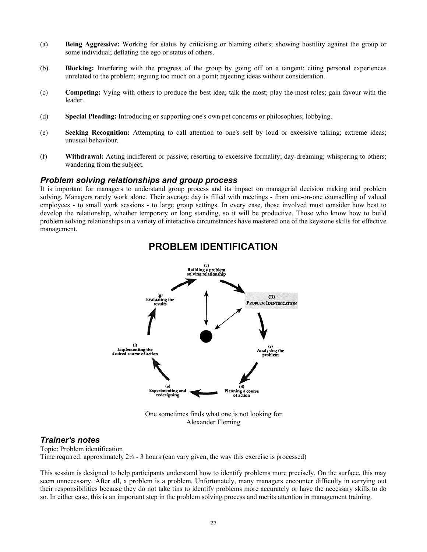- (a) **Being Aggressive:** Working for status by criticising or blaming others; showing hostility against the group or some individual; deflating the ego or status of others.
- (b) **Blocking:** Interfering with the progress of the group by going off on a tangent; citing personal experiences unrelated to the problem; arguing too much on a point; rejecting ideas without consideration.
- (c) **Competing:** Vying with others to produce the best idea; talk the most; play the most roles; gain favour with the leader.
- (d) **Special Pleading:** Introducing or supporting one's own pet concerns or philosophies; lobbying.
- (e) **Seeking Recognition:** Attempting to call attention to one's self by loud or excessive talking; extreme ideas; unusual behaviour.
- (f) **Withdrawal:** Acting indifferent or passive; resorting to excessive formality; day-dreaming; whispering to others; wandering from the subject.

#### *Problem solving relationships and group process*

It is important for managers to understand group process and its impact on managerial decision making and problem solving. Managers rarely work alone. Their average day is filled with meetings - from one-on-one counselling of valued employees - to small work sessions - to large group settings. In every case, those involved must consider how best to develop the relationship, whether temporary or long standing, so it will be productive. Those who know how to build problem solving relationships in a variety of interactive circumstances have mastered one of the keystone skills for effective management.



# **PROBLEM IDENTIFICATION**

One sometimes finds what one is not looking for Alexander Fleming

#### *Trainer's notes*

Topic: Problem identification Time required: approximately  $2\frac{1}{2}$  - 3 hours (can vary given, the way this exercise is processed)

This session is designed to help participants understand how to identify problems more precisely. On the surface, this may seem unnecessary. After all, a problem is a problem. Unfortunately, many managers encounter difficulty in carrying out their responsibilities because they do not take tins to identify problems more accurately or have the necessary skills to do so. In either case, this is an important step in the problem solving process and merits attention in management training.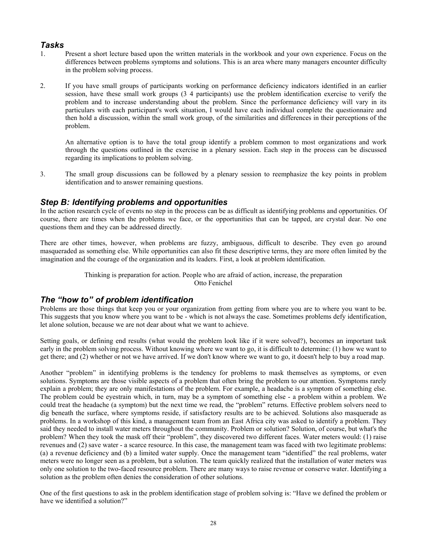## *Tasks*

- 1. Present a short lecture based upon the written materials in the workbook and your own experience. Focus on the differences between problems symptoms and solutions. This is an area where many managers encounter difficulty in the problem solving process.
- 2. If you have small groups of participants working on performance deficiency indicators identified in an earlier session, have these small work groups (3 4 participants) use the problem identification exercise to verify the problem and to increase understanding about the problem. Since the performance deficiency will vary in its particulars with each participant's work situation, I would have each individual complete the questionnaire and then hold a discussion, within the small work group, of the similarities and differences in their perceptions of the problem.

 An alternative option is to have the total group identify a problem common to most organizations and work through the questions outlined in the exercise in a plenary session. Each step in the process can be discussed regarding its implications to problem solving.

3. The small group discussions can be followed by a plenary session to reemphasize the key points in problem identification and to answer remaining questions.

## *Step B: Identifying problems and opportunities*

In the action research cycle of events no step in the process can be as difficult as identifying problems and opportunities. Of course, there are times when the problems we face, or the opportunities that can be tapped, are crystal dear. No one questions them and they can be addressed directly.

There are other times, however, when problems are fuzzy, ambiguous, difficult to describe. They even go around masqueraded as something else. While opportunities can also fit these descriptive terms, they are more often limited by the imagination and the courage of the organization and its leaders. First, a look at problem identification.

> Thinking is preparation for action. People who are afraid of action, increase, the preparation Otto Fenichel

## *The "how to" of problem identification*

Problems are those things that keep you or your organization from getting from where you are to where you want to be. This suggests that you know where you want to be - which is not always the case. Sometimes problems defy identification, let alone solution, because we are not dear about what we want to achieve.

Setting goals, or defining end results (what would the problem look like if it were solved?), becomes an important task early in the problem solving process. Without knowing where we want to go, it is difficult to determine: (1) how we want to get there; and (2) whether or not we have arrived. If we don't know where we want to go, it doesn't help to buy a road map.

Another "problem" in identifying problems is the tendency for problems to mask themselves as symptoms, or even solutions. Symptoms are those visible aspects of a problem that often bring the problem to our attention. Symptoms rarely explain a problem; they are only manifestations of the problem. For example, a headache is a symptom of something else. The problem could be eyestrain which, in turn, may be a symptom of something else - a problem within a problem. We could treat the headache (a symptom) but the next time we read, the "problem" returns. Effective problem solvers need to dig beneath the surface, where symptoms reside, if satisfactory results are to be achieved. Solutions also masquerade as problems. In a workshop of this kind, a management team from an East Africa city was asked to identify a problem. They said they needed to install water meters throughout the community. Problem or solution? Solution, of course, but what's the problem? When they took the mask off their "problem", they discovered two different faces. Water meters would: (1) raise revenues and (2) save water - a scarce resource. In this case, the management team was faced with two legitimate problems: (a) a revenue deficiency and (b) a limited water supply. Once the management team "identified" the real problems, water meters were no longer seen as a problem, but a solution. The team quickly realized that the installation of water meters was only one solution to the two-faced resource problem. There are many ways to raise revenue or conserve water. Identifying a solution as the problem often denies the consideration of other solutions.

One of the first questions to ask in the problem identification stage of problem solving is: "Have we defined the problem or have we identified a solution?"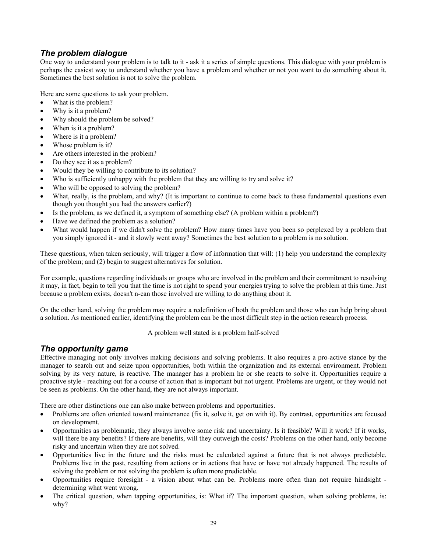## *The problem dialogue*

One way to understand your problem is to talk to it - ask it a series of simple questions. This dialogue with your problem is perhaps the easiest way to understand whether you have a problem and whether or not you want to do something about it. Sometimes the best solution is not to solve the problem.

Here are some questions to ask your problem.

- What is the problem?
- Why is it a problem?
- Why should the problem be solved?
- When is it a problem?
- Where is it a problem?
- Whose problem is it?
- Are others interested in the problem?
- Do they see it as a problem?
- Would they be willing to contribute to its solution?
- Who is sufficiently unhappy with the problem that they are willing to try and solve it?
- Who will be opposed to solving the problem?
- What, really, is the problem, and why? (It is important to continue to come back to these fundamental questions even though you thought you had the answers earlier?)
- Is the problem, as we defined it, a symptom of something else? (A problem within a problem?)
- Have we defined the problem as a solution?
- What would happen if we didn't solve the problem? How many times have you been so perplexed by a problem that you simply ignored it - and it slowly went away? Sometimes the best solution to a problem is no solution.

These questions, when taken seriously, will trigger a flow of information that will: (1) help you understand the complexity of the problem; and (2) begin to suggest alternatives for solution.

For example, questions regarding individuals or groups who are involved in the problem and their commitment to resolving it may, in fact, begin to tell you that the time is not right to spend your energies trying to solve the problem at this time. Just because a problem exists, doesn't n-can those involved are willing to do anything about it.

On the other hand, solving the problem may require a redefinition of both the problem and those who can help bring about a solution. As mentioned earlier, identifying the problem can be the most difficult step in the action research process.

A problem well stated is a problem half-solved

## *The opportunity game*

Effective managing not only involves making decisions and solving problems. It also requires a pro-active stance by the manager to search out and seize upon opportunities, both within the organization and its external environment. Problem solving by its very nature, is reactive. The manager has a problem he or she reacts to solve it. Opportunities require a proactive style - reaching out for a course of action that is important but not urgent. Problems are urgent, or they would not be seen as problems. On the other hand, they are not always important.

There are other distinctions one can also make between problems and opportunities.

- Problems are often oriented toward maintenance (fix it, solve it, get on with it). By contrast, opportunities are focused on development.
- Opportunities as problematic, they always involve some risk and uncertainty. Is it feasible? Will it work? If it works, will there be any benefits? If there are benefits, will they outweigh the costs? Problems on the other hand, only become risky and uncertain when they are not solved.
- Opportunities live in the future and the risks must be calculated against a future that is not always predictable. Problems live in the past, resulting from actions or in actions that have or have not already happened. The results of solving the problem or not solving the problem is often more predictable.
- Opportunities require foresight a vision about what can be. Problems more often than not require hindsight determining what went wrong.
- The critical question, when tapping opportunities, is: What if? The important question, when solving problems, is: why?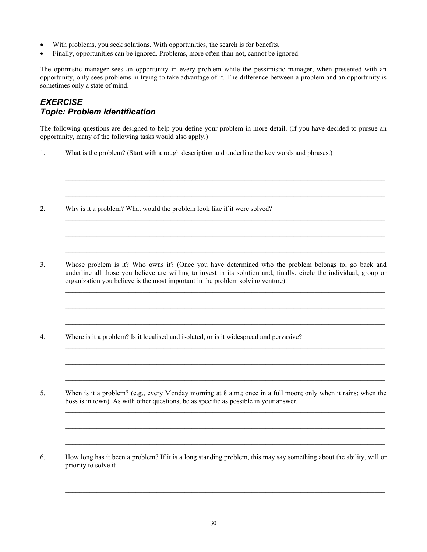- With problems, you seek solutions. With opportunities, the search is for benefits.
- Finally, opportunities can be ignored. Problems, more often than not, cannot be ignored.

The optimistic manager sees an opportunity in every problem while the pessimistic manager, when presented with an opportunity, only sees problems in trying to take advantage of it. The difference between a problem and an opportunity is sometimes only a state of mind.

## *EXERCISE Topic: Problem Identification*

The following questions are designed to help you define your problem in more detail. (If you have decided to pursue an opportunity, many of the following tasks would also apply.)

 $\_$  , and the state of the state of the state of the state of the state of the state of the state of the state of the state of the state of the state of the state of the state of the state of the state of the state of the

 $\_$  , and the state of the state of the state of the state of the state of the state of the state of the state of the state of the state of the state of the state of the state of the state of the state of the state of the

 $\_$  , and the state of the state of the state of the state of the state of the state of the state of the state of the state of the state of the state of the state of the state of the state of the state of the state of the

 $\_$  , and the state of the state of the state of the state of the state of the state of the state of the state of the state of the state of the state of the state of the state of the state of the state of the state of the

 $\_$  , and the state of the state of the state of the state of the state of the state of the state of the state of the state of the state of the state of the state of the state of the state of the state of the state of the

 $\_$  , and the state of the state of the state of the state of the state of the state of the state of the state of the state of the state of the state of the state of the state of the state of the state of the state of the

 $\_$  , and the state of the state of the state of the state of the state of the state of the state of the state of the state of the state of the state of the state of the state of the state of the state of the state of the

 $\_$  , and the state of the state of the state of the state of the state of the state of the state of the state of the state of the state of the state of the state of the state of the state of the state of the state of the

 $\_$  , and the state of the state of the state of the state of the state of the state of the state of the state of the state of the state of the state of the state of the state of the state of the state of the state of the

 $\mathcal{L}_\mathcal{L} = \mathcal{L}_\mathcal{L}$ 

 $\mathcal{L}_\mathcal{L} = \mathcal{L}_\mathcal{L}$ 

 $\_$  , and the state of the state of the state of the state of the state of the state of the state of the state of the state of the state of the state of the state of the state of the state of the state of the state of the

- 1. What is the problem? (Start with a rough description and underline the key words and phrases.)
- 2. Why is it a problem? What would the problem look like if it were solved?
- 3. Whose problem is it? Who owns it? (Once you have determined who the problem belongs to, go back and underline all those you believe are willing to invest in its solution and, finally, circle the individual, group or organization you believe is the most important in the problem solving venture).
- 4. Where is it a problem? Is it localised and isolated, or is it widespread and pervasive?
- 5. When is it a problem? (e.g., every Monday morning at 8 a.m.; once in a full moon; only when it rains; when the boss is in town). As with other questions, be as specific as possible in your answer.
- 6. How long has it been a problem? If it is a long standing problem, this may say something about the ability, will or priority to solve it